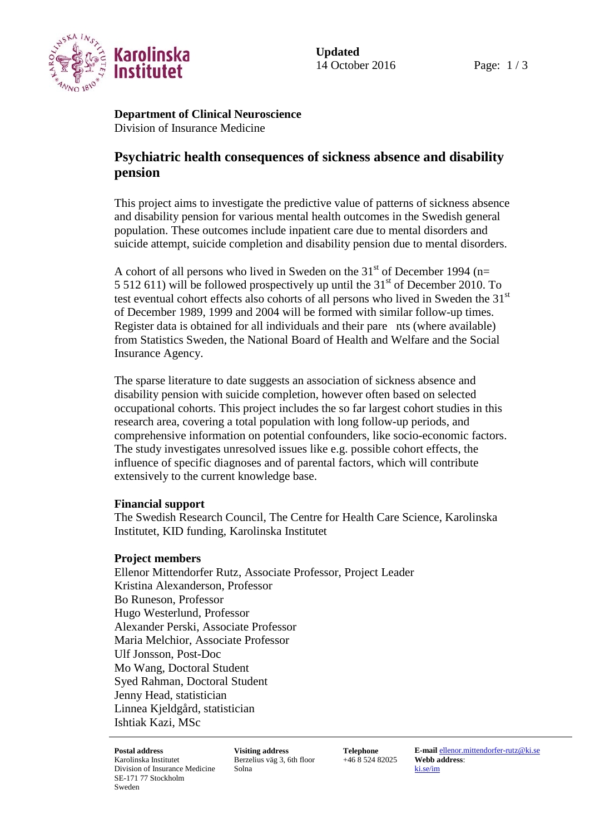

**Department of Clinical Neuroscience** Division of Insurance Medicine

## **Psychiatric health consequences of sickness absence and disability pension**

This project aims to investigate the predictive value of patterns of sickness absence and disability pension for various mental health outcomes in the Swedish general population. These outcomes include inpatient care due to mental disorders and suicide attempt, suicide completion and disability pension due to mental disorders.

A cohort of all persons who lived in Sweden on the  $31<sup>st</sup>$  of December 1994 (n= 5 512 611) will be followed prospectively up until the  $31<sup>st</sup>$  of December 2010. To test eventual cohort effects also cohorts of all persons who lived in Sweden the 31<sup>st</sup> of December 1989, 1999 and 2004 will be formed with similar follow-up times. Register data is obtained for all individuals and their pare nts (where available) from Statistics Sweden, the National Board of Health and Welfare and the Social Insurance Agency.

The sparse literature to date suggests an association of sickness absence and disability pension with suicide completion, however often based on selected occupational cohorts. This project includes the so far largest cohort studies in this research area, covering a total population with long follow-up periods, and comprehensive information on potential confounders, like socio-economic factors. The study investigates unresolved issues like e.g. possible cohort effects, the influence of specific diagnoses and of parental factors, which will contribute extensively to the current knowledge base.

## **Financial support**

The Swedish Research Council, The Centre for Health Care Science, Karolinska Institutet, KID funding, Karolinska Institutet

## **Project members**

Ellenor Mittendorfer Rutz, Associate Professor, Project Leader Kristina Alexanderson, Professor Bo Runeson, Professor Hugo Westerlund, Professor Alexander Perski, Associate Professor Maria Melchior, Associate Professor Ulf Jonsson, Post-Doc Mo Wang, Doctoral Student Syed Rahman, Doctoral Student Jenny Head, statistician Linnea Kjeldgård, statistician Ishtiak Kazi, MSc

Karolinska Institutet Division of Insurance Medicine SE-171 77 Stockholm Sweden

Berzelius väg 3, 6th floor Solna

+46 8 524 82025 **Webb address**:

**Postal address Visiting address Telephone E-mail** [ellenor.mittendorfer-rutz@ki.se](mailto:ellenor.mittendorfer-rutz@ki.se) [ki.se/im](http://www.ki.se/im)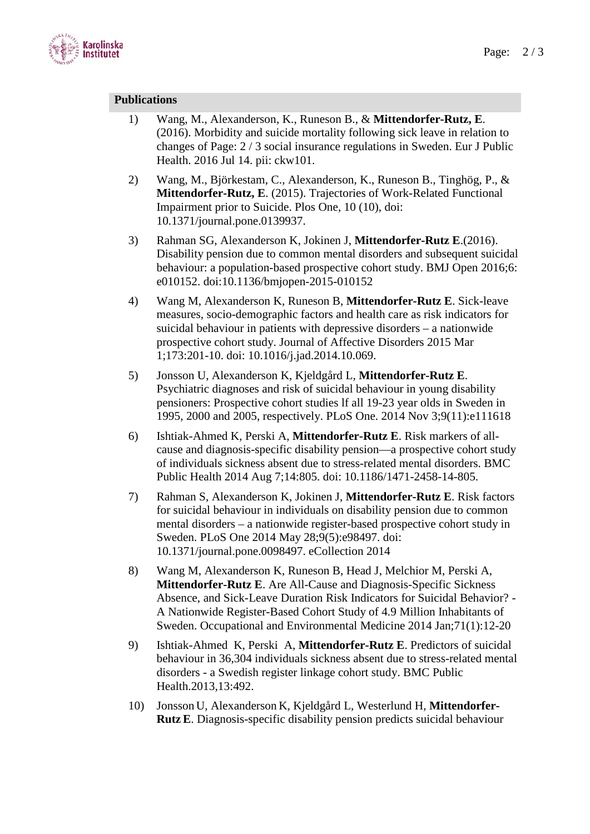

## **Publications**

- 1) Wang, M., Alexanderson, K., Runeson B., & **Mittendorfer-Rutz, E**. (2016). Morbidity and suicide mortality following sick leave in relation to changes of Page: 2 / 3 social insurance regulations in Sweden. Eur J Public Health. 2016 Jul 14. pii: ckw101.
- 2) Wang, M., Björkestam, C., Alexanderson, K., Runeson B., Tinghög, P., & **Mittendorfer-Rutz, E**. (2015). Trajectories of Work-Related Functional Impairment prior to Suicide. Plos One, 10 (10), doi: 10.1371/journal.pone.0139937.
- 3) Rahman SG, Alexanderson K, Jokinen J, **Mittendorfer-Rutz E**.(2016). Disability pension due to common mental disorders and subsequent suicidal behaviour: a population-based prospective cohort study. BMJ Open 2016;6: e010152. doi:10.1136/bmjopen-2015-010152
- 4) Wang M, Alexanderson K, Runeson B, **Mittendorfer-Rutz E**. Sick-leave measures, socio-demographic factors and health care as risk indicators for suicidal behaviour in patients with depressive disorders – a nationwide prospective cohort study. Journal of Affective Disorders 2015 Mar 1;173:201-10. doi: 10.1016/j.jad.2014.10.069.
- 5) Jonsson U, Alexanderson K, Kjeldgård L, **Mittendorfer-Rutz E**. Psychiatric diagnoses and risk of suicidal behaviour in young disability pensioners: Prospective cohort studies lf all 19-23 year olds in Sweden in 1995, 2000 and 2005, respectively. PLoS One. 2014 Nov 3;9(11):e111618
- 6) Ishtiak-Ahmed K, Perski A, **Mittendorfer-Rutz E**. Risk markers of allcause and diagnosis-specific disability pension—a prospective cohort study of individuals sickness absent due to stress-related mental disorders. BMC Public Health 2014 Aug 7;14:805. doi: 10.1186/1471-2458-14-805.
- 7) Rahman S, Alexanderson K, Jokinen J, **Mittendorfer-Rutz E**. Risk factors for suicidal behaviour in individuals on disability pension due to common mental disorders – a nationwide register-based prospective cohort study in Sweden. PLoS One 2014 May 28;9(5):e98497. doi: 10.1371/journal.pone.0098497. eCollection 2014
- 8) Wang M, Alexanderson K, Runeson B, Head J, Melchior M, Perski A, **Mittendorfer-Rutz E**. Are All-Cause and Diagnosis-Specific Sickness Absence, and Sick-Leave Duration Risk Indicators for Suicidal Behavior? - A Nationwide Register-Based Cohort Study of 4.9 Million Inhabitants of Sweden. Occupational and Environmental Medicine 2014 Jan;71(1):12-20
- 9) Ishtiak-Ahmed K, Perski A, **Mittendorfer-Rutz E**. Predictors of suicidal behaviour in 36,304 individuals sickness absent due to stress-related mental disorders - a Swedish register linkage cohort study. BMC Public Health.2013,13:492.
- 10) Jonsson U, Alexanderson K, Kjeldgård L, Westerlund H, **Mittendorfer-RutzE**. Diagnosis-specific disability pension predicts suicidal behaviour